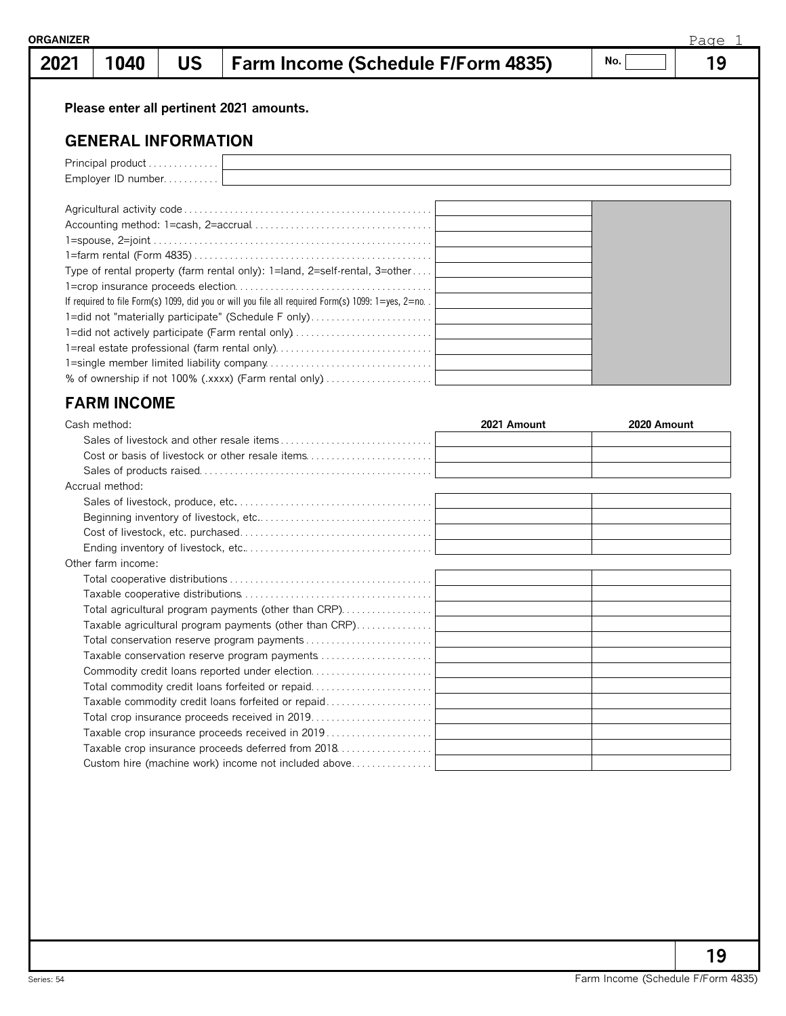## **1040 US Farm Income (Schedule F/Form 4835) 19**

**No.**

## **Please enter all pertinent 2021 amounts.**

## **GENERAL INFORMATION**

| Employer ID number                                                                                           |  |
|--------------------------------------------------------------------------------------------------------------|--|
|                                                                                                              |  |
|                                                                                                              |  |
|                                                                                                              |  |
|                                                                                                              |  |
|                                                                                                              |  |
| Type of rental property (farm rental only): $1=$ land, $2=$ self-rental, $3=$ other                          |  |
|                                                                                                              |  |
| If required to file Form(s) 1099, did you or will you file all required Form(s) 1099: $1 = yes$ , $2 = no$ . |  |
| 1=did not "materially participate" (Schedule F only)                                                         |  |
| 1-did not actively participate (Farm rental only)                                                            |  |
| 1=real estate professional (farm rental only)                                                                |  |
|                                                                                                              |  |
| % of ownership if not 100% (.xxxx) (Farm rental only)                                                        |  |

## **FARM INCOME**

| Cash method:                                           | 2021 Amount | 2020 Amount |
|--------------------------------------------------------|-------------|-------------|
|                                                        |             |             |
| Cost or basis of livestock or other resale items       |             |             |
|                                                        |             |             |
| Accrual method:                                        |             |             |
|                                                        |             |             |
|                                                        |             |             |
|                                                        |             |             |
|                                                        |             |             |
| Other farm income:                                     |             |             |
|                                                        |             |             |
|                                                        |             |             |
| Total agricultural program payments (other than CRP)   |             |             |
| Taxable agricultural program payments (other than CRP) |             |             |
|                                                        |             |             |
|                                                        |             |             |
|                                                        |             |             |
| Total commodity credit loans forfeited or repaid       |             |             |
| Taxable commodity credit loans forfeited or repaid     |             |             |
| Total crop insurance proceeds received in 2019         |             |             |
| Taxable crop insurance proceeds received in 2019       |             |             |
| Taxable crop insurance proceeds deferred from 2018     |             |             |
| Custom hire (machine work) income not included above   |             |             |

**19**